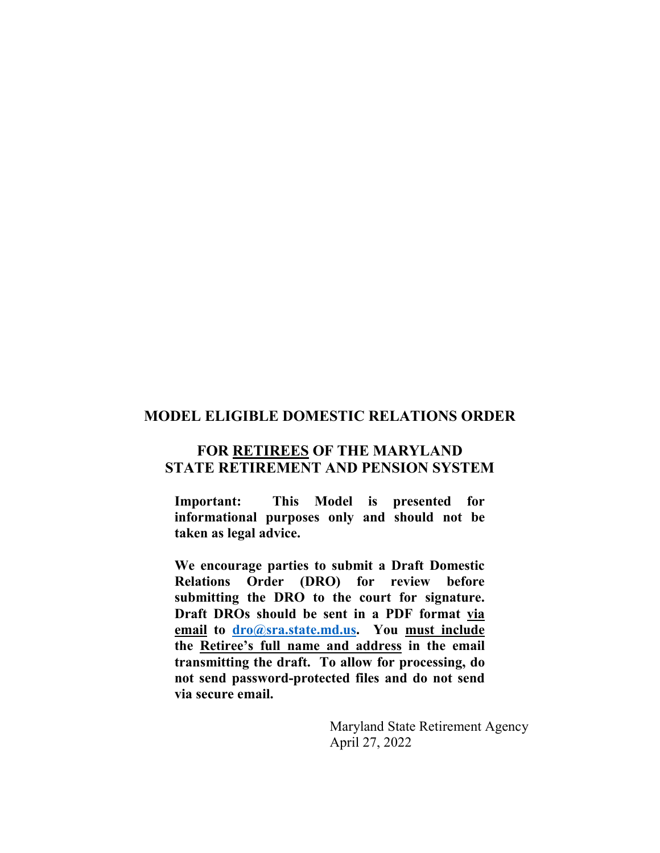## **MODEL ELIGIBLE DOMESTIC RELATIONS ORDER**

## **FOR RETIREES OF THE MARYLAND STATE RETIREMENT AND PENSION SYSTEM**

**Important: This Model is presented for informational purposes only and should not be taken as legal advice.** 

**We encourage parties to submit a Draft Domestic Relations Order (DRO) for review before submitting the DRO to the court for signature. Draft DROs should be sent in a PDF format via email to [dro@sra.state.md.us.](mailto:dro@sra.state.md.us) You must include the Retiree's full name and address in the email transmitting the draft. To allow for processing, do not send password-protected files and do not send via secure email.** 

> Maryland State Retirement Agency April 27, 2022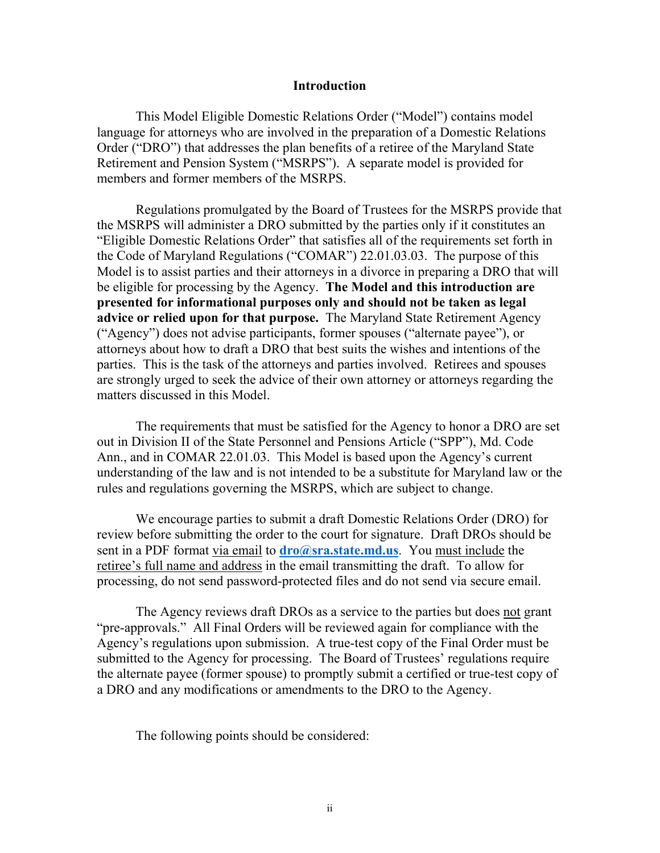#### **Introduction**

 This Model Eligible Domestic Relations Order ("Model") contains model language for attorneys who are involved in the preparation of a Domestic Relations Order ("DRO") that addresses the plan benefits of a retiree of the Maryland State Retirement and Pension System ("MSRPS"). A separate model is provided for members and former members of the MSRPS.

Regulations promulgated by the Board of Trustees for the MSRPS provide that the MSRPS will administer a DRO submitted by the parties only if it constitutes an "Eligible Domestic Relations Order" that satisfies all of the requirements set forth in the Code of Maryland Regulations ("COMAR") 22.01.03.03. The purpose of this Model is to assist parties and their attorneys in a divorce in preparing a DRO that will be eligible for processing by the Agency. **The Model and this introduction are presented for informational purposes only and should not be taken as legal advice or relied upon for that purpose.** The Maryland State Retirement Agency ("Agency") does not advise participants, former spouses ("alternate payee"), or attorneys about how to draft a DRO that best suits the wishes and intentions of the parties. This is the task of the attorneys and parties involved. Retirees and spouses are strongly urged to seek the advice of their own attorney or attorneys regarding the matters discussed in this Model.

The requirements that must be satisfied for the Agency to honor a DRO are set out in Division II of the State Personnel and Pensions Article ("SPP"), Md. Code Ann., and in COMAR 22.01.03. This Model is based upon the Agency's current understanding of the law and is not intended to be a substitute for Maryland law or the rules and regulations governing the MSRPS, which are subject to change.

We encourage parties to submit a draft Domestic Relations Order (DRO) for review before submitting the order to the court for signature. Draft DROs should be sent in a PDF format via email to **[dro@sra.state.md.us](mailto:dro@sra.state.md.us)**. You must include the retiree's full name and address in the email transmitting the draft. To allow for processing, do not send password-protected files and do not send via secure email.

The Agency reviews draft DROs as a service to the parties but does not grant "pre-approvals." All Final Orders will be reviewed again for compliance with the Agency's regulations upon submission. A true-test copy of the Final Order must be submitted to the Agency for processing. The Board of Trustees' regulations require the alternate payee (former spouse) to promptly submit a certified or true-test copy of a DRO and any modifications or amendments to the DRO to the Agency.

The following points should be considered: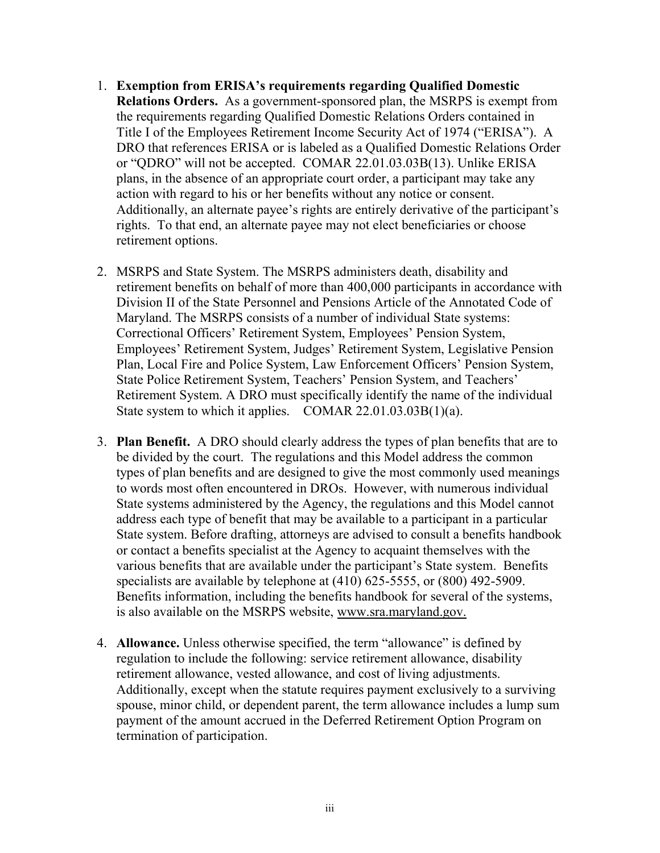- 1. **Exemption from ERISA's requirements regarding Qualified Domestic Relations Orders.** As a government-sponsored plan, the MSRPS is exempt from the requirements regarding Qualified Domestic Relations Orders contained in Title I of the Employees Retirement Income Security Act of 1974 ("ERISA"). A DRO that references ERISA or is labeled as a Qualified Domestic Relations Order or "QDRO" will not be accepted. COMAR 22.01.03.03B(13). Unlike ERISA plans, in the absence of an appropriate court order, a participant may take any action with regard to his or her benefits without any notice or consent. Additionally, an alternate payee's rights are entirely derivative of the participant's rights. To that end, an alternate payee may not elect beneficiaries or choose retirement options.
- 2. MSRPS and State System. The MSRPS administers death, disability and retirement benefits on behalf of more than 400,000 participants in accordance with Division II of the State Personnel and Pensions Article of the Annotated Code of Maryland. The MSRPS consists of a number of individual State systems: Correctional Officers' Retirement System, Employees' Pension System, Employees' Retirement System, Judges' Retirement System, Legislative Pension Plan, Local Fire and Police System, Law Enforcement Officers' Pension System, State Police Retirement System, Teachers' Pension System, and Teachers' Retirement System. A DRO must specifically identify the name of the individual State system to which it applies. COMAR 22.01.03.03B(1)(a).
- 3. **Plan Benefit.** A DRO should clearly address the types of plan benefits that are to be divided by the court. The regulations and this Model address the common types of plan benefits and are designed to give the most commonly used meanings to words most often encountered in DROs. However, with numerous individual State systems administered by the Agency, the regulations and this Model cannot address each type of benefit that may be available to a participant in a particular State system. Before drafting, attorneys are advised to consult a benefits handbook or contact a benefits specialist at the Agency to acquaint themselves with the various benefits that are available under the participant's State system. Benefits specialists are available by telephone at (410) 625-5555, or (800) 492-5909. Benefits information, including the benefits handbook for several of the systems, is also available on the MSRPS website, www.sra.maryland.gov.
- 4. **Allowance.** Unless otherwise specified, the term "allowance" is defined by regulation to include the following: service retirement allowance, disability retirement allowance, vested allowance, and cost of living adjustments. Additionally, except when the statute requires payment exclusively to a surviving spouse, minor child, or dependent parent, the term allowance includes a lump sum payment of the amount accrued in the Deferred Retirement Option Program on termination of participation.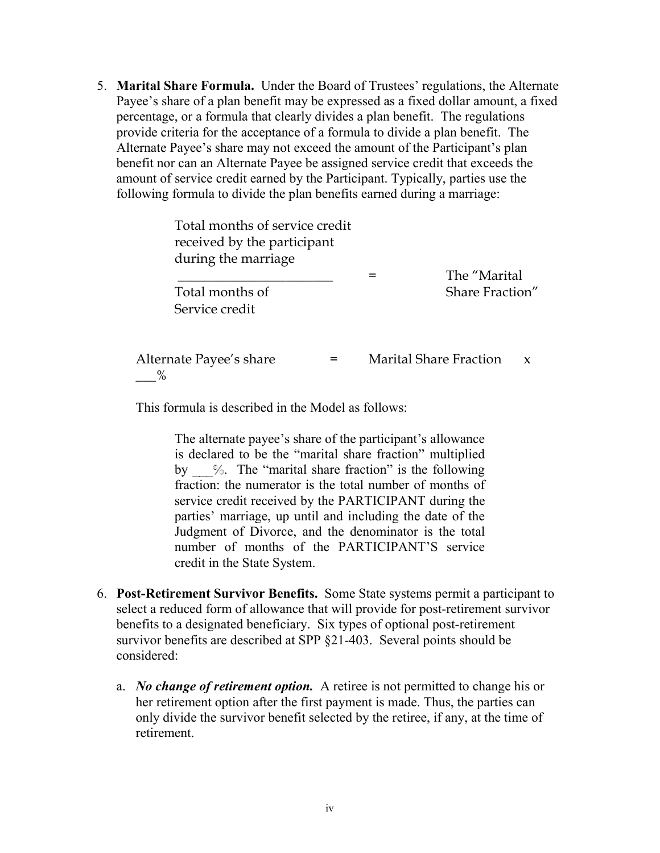5. **Marital Share Formula.** Under the Board of Trustees' regulations, the Alternate Payee's share of a plan benefit may be expressed as a fixed dollar amount, a fixed percentage, or a formula that clearly divides a plan benefit. The regulations provide criteria for the acceptance of a formula to divide a plan benefit. The Alternate Payee's share may not exceed the amount of the Participant's plan benefit nor can an Alternate Payee be assigned service credit that exceeds the amount of service credit earned by the Participant. Typically, parties use the following formula to divide the plan benefits earned during a marriage:

| Total months of service credit<br>received by the participant<br>during the marriage | The "Marital"                 |                 |  |
|--------------------------------------------------------------------------------------|-------------------------------|-----------------|--|
| Total months of<br>Service credit                                                    |                               | Share Fraction" |  |
| Alternate Payee's share<br>=                                                         | <b>Marital Share Fraction</b> | X               |  |

This formula is described in the Model as follows:

The alternate payee's share of the participant's allowance is declared to be the "marital share fraction" multiplied by \_\_\_%. The "marital share fraction" is the following fraction: the numerator is the total number of months of service credit received by the PARTICIPANT during the parties' marriage, up until and including the date of the Judgment of Divorce, and the denominator is the total number of months of the PARTICIPANT'S service credit in the State System.

- 6. **Post-Retirement Survivor Benefits.** Some State systems permit a participant to select a reduced form of allowance that will provide for post-retirement survivor benefits to a designated beneficiary. Six types of optional post-retirement survivor benefits are described at SPP §21-403. Several points should be considered:
	- a. *No change of retirement option.* A retiree is not permitted to change his or her retirement option after the first payment is made. Thus, the parties can only divide the survivor benefit selected by the retiree, if any, at the time of retirement.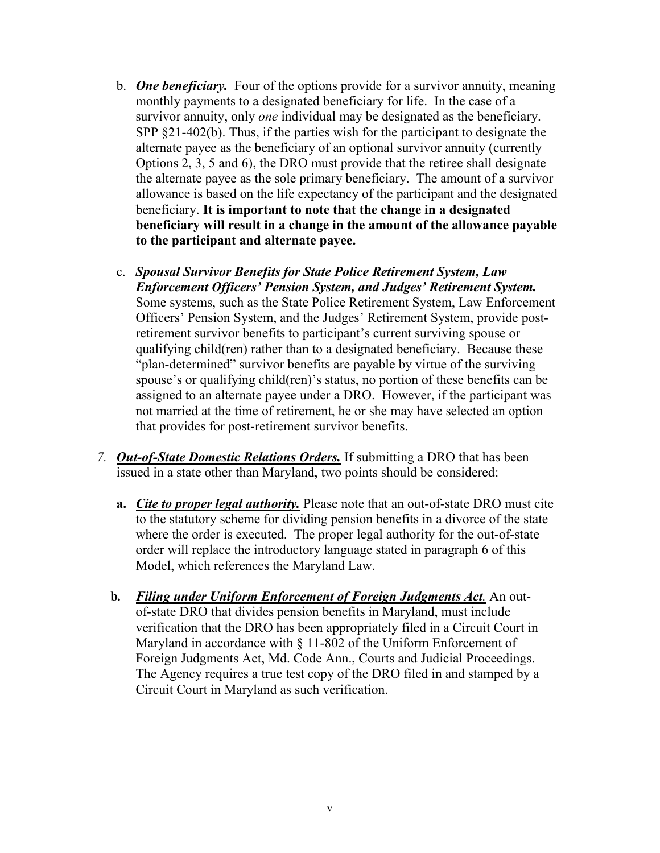- b. *One beneficiary.* Four of the options provide for a survivor annuity, meaning monthly payments to a designated beneficiary for life. In the case of a survivor annuity, only *one* individual may be designated as the beneficiary. SPP §21-402(b). Thus, if the parties wish for the participant to designate the alternate payee as the beneficiary of an optional survivor annuity (currently Options 2, 3, 5 and 6), the DRO must provide that the retiree shall designate the alternate payee as the sole primary beneficiary. The amount of a survivor allowance is based on the life expectancy of the participant and the designated beneficiary. **It is important to note that the change in a designated beneficiary will result in a change in the amount of the allowance payable to the participant and alternate payee.**
- c. *Spousal Survivor Benefits for State Police Retirement System, Law Enforcement Officers' Pension System, and Judges' Retirement System.*  Some systems, such as the State Police Retirement System, Law Enforcement Officers' Pension System, and the Judges' Retirement System, provide postretirement survivor benefits to participant's current surviving spouse or qualifying child(ren) rather than to a designated beneficiary. Because these "plan-determined" survivor benefits are payable by virtue of the surviving spouse's or qualifying child(ren)'s status, no portion of these benefits can be assigned to an alternate payee under a DRO. However, if the participant was not married at the time of retirement, he or she may have selected an option that provides for post-retirement survivor benefits.
- *7. Out-of-State Domestic Relations Orders.* If submitting a DRO that has been issued in a state other than Maryland, two points should be considered:
	- **a.** *Cite to proper legal authority.* Please note that an out-of-state DRO must cite to the statutory scheme for dividing pension benefits in a divorce of the state where the order is executed. The proper legal authority for the out-of-state order will replace the introductory language stated in paragraph 6 of this Model, which references the Maryland Law.
	- **b***. Filing under Uniform Enforcement of Foreign Judgments Act.* An out of-state DRO that divides pension benefits in Maryland, must include verification that the DRO has been appropriately filed in a Circuit Court in Maryland in accordance with  $\S$  11-802 of the Uniform Enforcement of Foreign Judgments Act, Md. Code Ann., Courts and Judicial Proceedings. The Agency requires a true test copy of the DRO filed in and stamped by a Circuit Court in Maryland as such verification.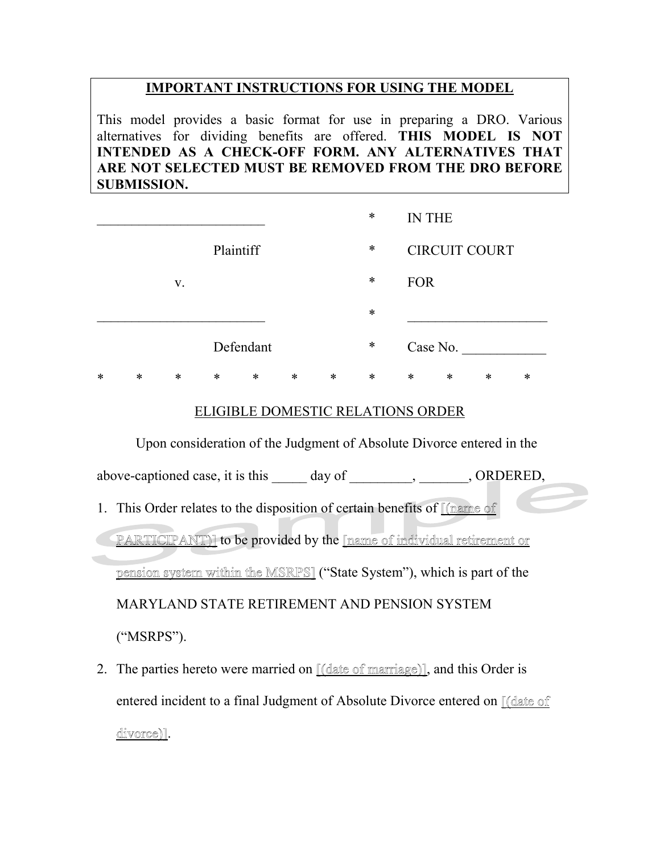## **IMPORTANT INSTRUCTIONS FOR USING THE MODEL**

This model provides a basic format for use in preparing a DRO. Various alternatives for dividing benefits are offered. **THIS MODEL IS NOT INTENDED AS A CHECK-OFF FORM. ANY ALTERNATIVES THAT ARE NOT SELECTED MUST BE REMOVED FROM THE DRO BEFORE SUBMISSION.**

|   |        |        |        |           |        |        | $\ast$ |            | <b>IN THE</b>        |        |   |
|---|--------|--------|--------|-----------|--------|--------|--------|------------|----------------------|--------|---|
|   |        |        |        | Plaintiff |        |        | $\ast$ |            | <b>CIRCUIT COURT</b> |        |   |
|   |        | V.     |        |           |        |        | $\ast$ | <b>FOR</b> |                      |        |   |
|   |        |        |        |           |        |        | $\ast$ |            |                      |        |   |
|   |        |        |        | Defendant |        |        | $\ast$ |            | Case No.             |        |   |
| * | $\ast$ | $\ast$ | $\ast$ | $\ast$    | $\ast$ | $\ast$ | $\ast$ | ∗          | *                    | $\ast$ | * |

#### ELIGIBLE DOMESTIC RELATIONS ORDER

 Upon consideration of the Judgment of Absolute Divorce entered in the above-captioned case, it is this day of , CRDERED, 1. This Order relates to the disposition of certain benefits of Channe of PARTICIPANT)] to be provided by the [name of individual retirement or pension system within the MSRPS] ("State System"), which is part of the

MARYLAND STATE RETIREMENT AND PENSION SYSTEM

("MSRPS").

2. The parties hereto were married on  $\lfloor \frac{d}{dt} \rfloor$  and this Order is entered incident to a final Judgment of Absolute Divorce entered on [(date of divorce)].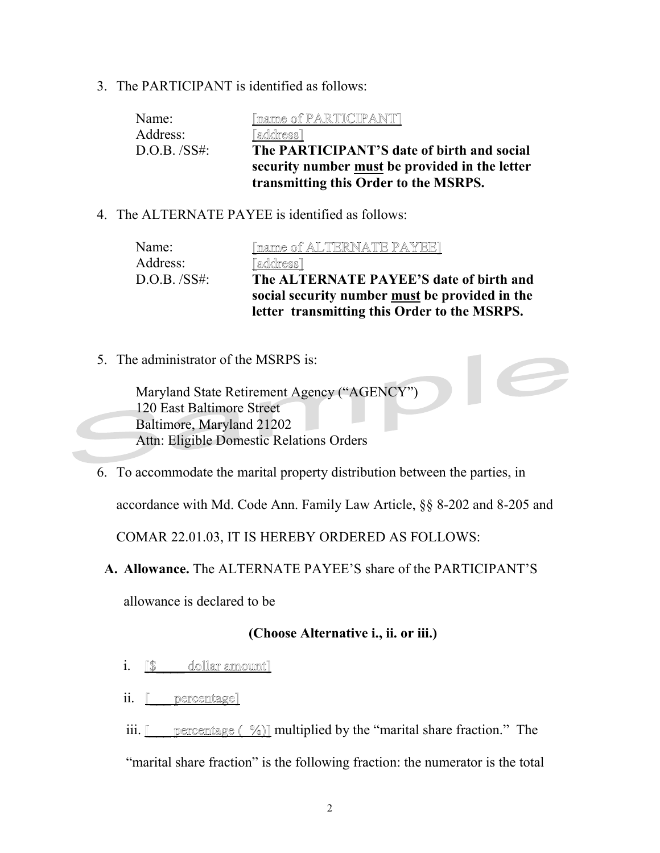3. The PARTICIPANT is identified as follows:

| Name:          | [name of PARTICIPANT]                          |
|----------------|------------------------------------------------|
| Address:       | [address]                                      |
| $D.O.B.$ /SS#: | The PARTICIPANT'S date of birth and social     |
|                | security number must be provided in the letter |
|                | transmitting this Order to the MSRPS.          |

4. The ALTERNATE PAYEE is identified as follows:

| Name:       | [name of ALTERNATE PAYEE]                      |
|-------------|------------------------------------------------|
| Address:    | [address]                                      |
| D.O.B. /SS# | The ALTERNATE PAYEE'S date of birth and        |
|             | social security number must be provided in the |
|             | letter transmitting this Order to the MSRPS.   |

5. The administrator of the MSRPS is:

Maryland State Retirement Agency ("AGENCY") 120 East Baltimore Street Baltimore, Maryland 21202 Attn: Eligible Domestic Relations Orders

6. To accommodate the marital property distribution between the parties, in

accordance with Md. Code Ann. Family Law Article, §§ 8-202 and 8-205 and

COMAR 22.01.03, IT IS HEREBY ORDERED AS FOLLOWS:

**A. Allowance.** The ALTERNATE PAYEE'S share of the PARTICIPANT'S

allowance is declared to be

#### **(Choose Alternative i., ii. or iii.)**

- i. **[\$** dollar amount]
- ii. <u>[\_\_\_ percentage</u>]

iii.  $\lceil \cdot \rceil$  percentage ( %)] multiplied by the "marital share fraction." The "marital share fraction" is the following fraction: the numerator is the total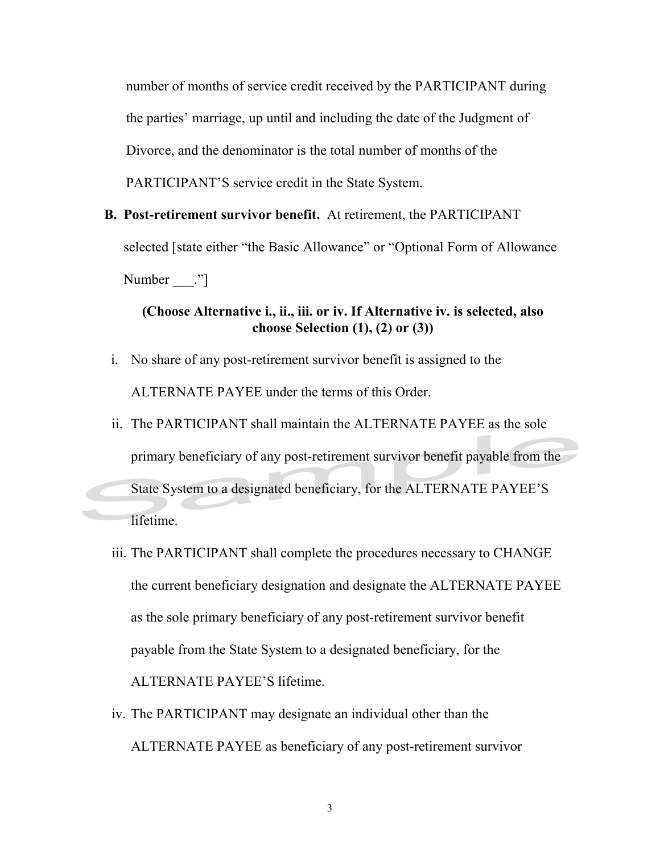number of months of service credit received by the PARTICIPANT during the parties' marriage, up until and including the date of the Judgment of Divorce, and the denominator is the total number of months of the PARTICIPANT'S service credit in the State System.

**B. Post-retirement survivor benefit.** At retirement, the PARTICIPANT selected [state either "the Basic Allowance" or "Optional Form of Allowance Number ."]

# **(Choose Alternative i., ii., iii. or iv. If Alternative iv. is selected, also choose Selection (1), (2) or (3))**

- i. No share of any post-retirement survivor benefit is assigned to the ALTERNATE PAYEE under the terms of this Order.
- ii. The PARTICIPANT shall maintain the ALTERNATE PAYEE as the sole primary beneficiary of any post-retirement survivor benefit payable from the State System to a designated beneficiary, for the ALTERNATE PAYEE'S lifetime.
- iii. The PARTICIPANT shall complete the procedures necessary to CHANGE the current beneficiary designation and designate the ALTERNATE PAYEE as the sole primary beneficiary of any post-retirement survivor benefit payable from the State System to a designated beneficiary, for the ALTERNATE PAYEE'S lifetime.
- iv. The PARTICIPANT may designate an individual other than the ALTERNATE PAYEE as beneficiary of any post-retirement survivor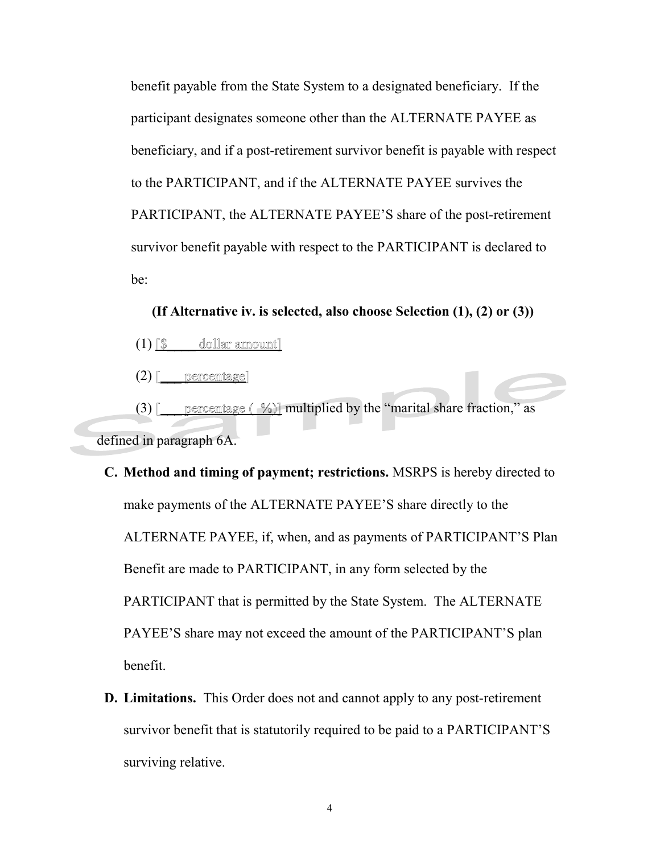benefit payable from the State System to a designated beneficiary. If the participant designates someone other than the ALTERNATE PAYEE as beneficiary, and if a post-retirement survivor benefit is payable with respect to the PARTICIPANT, and if the ALTERNATE PAYEE survives the PARTICIPANT, the ALTERNATE PAYEE'S share of the post-retirement survivor benefit payable with respect to the PARTICIPANT is declared to be:

**(If Alternative iv. is selected, also choose Selection (1), (2) or (3))**

(1) [\$\_\_\_\_ dollar amount]

 $(2)$  [  $\_$  percentage]

(3) [\_\_\_ percentage  $(\frac{\%}{\%})$ ] multiplied by the "marital share fraction," as defined in paragraph 6A.

**C. Method and timing of payment; restrictions.** MSRPS is hereby directed to make payments of the ALTERNATE PAYEE'S share directly to the ALTERNATE PAYEE, if, when, and as payments of PARTICIPANT'S Plan Benefit are made to PARTICIPANT, in any form selected by the PARTICIPANT that is permitted by the State System. The ALTERNATE PAYEE'S share may not exceed the amount of the PARTICIPANT'S plan benefit.

**D. Limitations.** This Order does not and cannot apply to any post-retirement survivor benefit that is statutorily required to be paid to a PARTICIPANT'S surviving relative.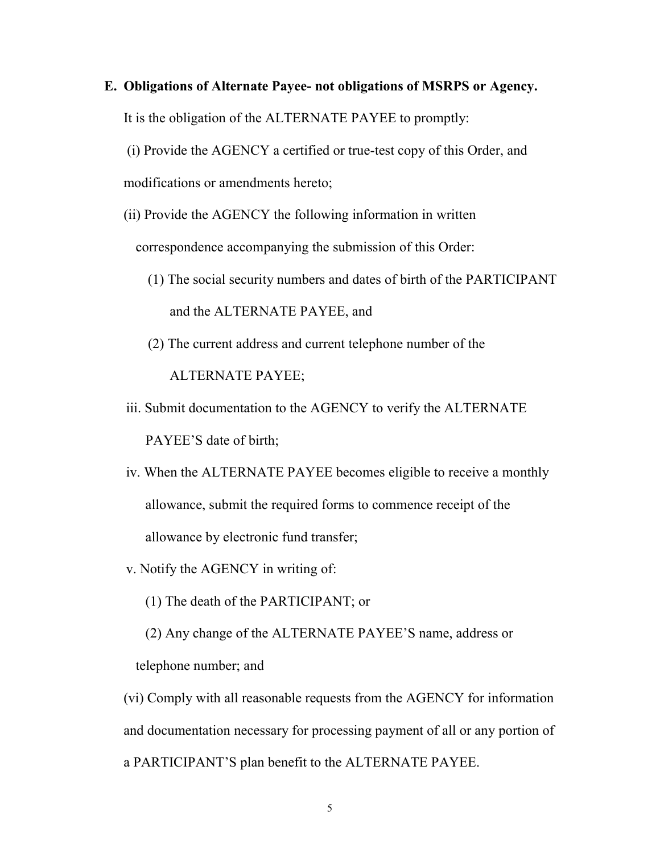**E. Obligations of Alternate Payee- not obligations of MSRPS or Agency.** It is the obligation of the ALTERNATE PAYEE to promptly:

(i) Provide the AGENCY a certified or true-test copy of this Order, and modifications or amendments hereto;

(ii) Provide the AGENCY the following information in written

correspondence accompanying the submission of this Order:

- (1) The social security numbers and dates of birth of the PARTICIPANT and the ALTERNATE PAYEE, and
- (2) The current address and current telephone number of the ALTERNATE PAYEE;
- iii. Submit documentation to the AGENCY to verify the ALTERNATE PAYEE'S date of birth;
- iv. When the ALTERNATE PAYEE becomes eligible to receive a monthly allowance, submit the required forms to commence receipt of the allowance by electronic fund transfer;
- v. Notify the AGENCY in writing of:
	- (1) The death of the PARTICIPANT; or

(2) Any change of the ALTERNATE PAYEE'S name, address or telephone number; and

(vi) Comply with all reasonable requests from the AGENCY for information and documentation necessary for processing payment of all or any portion of a PARTICIPANT'S plan benefit to the ALTERNATE PAYEE.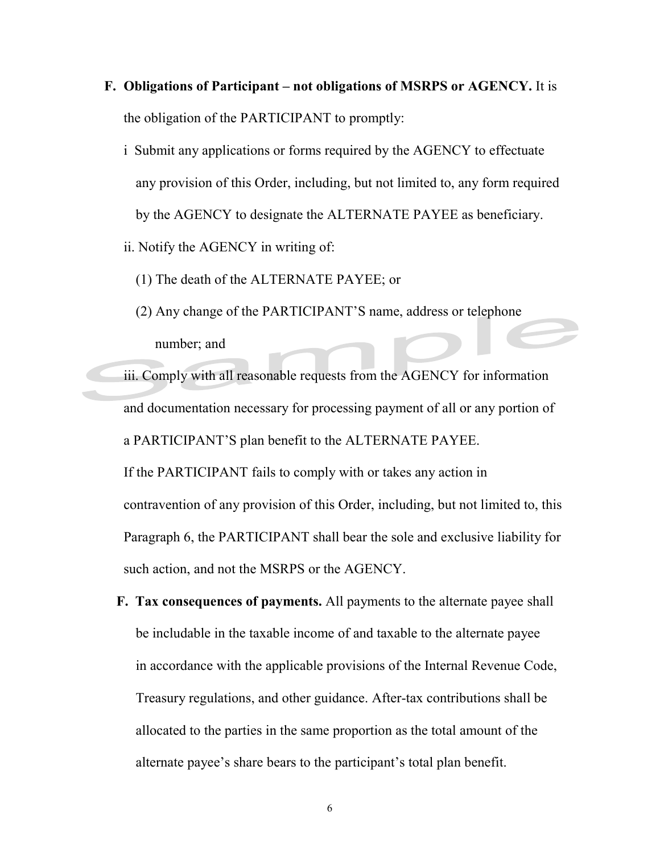- **F. Obligations of Participant – not obligations of MSRPS or AGENCY.** It is the obligation of the PARTICIPANT to promptly:
	- i Submit any applications or forms required by the AGENCY to effectuate any provision of this Order, including, but not limited to, any form required by the AGENCY to designate the ALTERNATE PAYEE as beneficiary.
	- ii. Notify the AGENCY in writing of:
		- (1) The death of the ALTERNATE PAYEE; or
		- (2) Any change of the PARTICIPANT'S name, address or telephone number; and
	- iii. Comply with all reasonable requests from the AGENCY for information and documentation necessary for processing payment of all or any portion of a PARTICIPANT'S plan benefit to the ALTERNATE PAYEE.

If the PARTICIPANT fails to comply with or takes any action in contravention of any provision of this Order, including, but not limited to, this Paragraph 6, the PARTICIPANT shall bear the sole and exclusive liability for such action, and not the MSRPS or the AGENCY.

**F. Tax consequences of payments.** All payments to the alternate payee shall be includable in the taxable income of and taxable to the alternate payee in accordance with the applicable provisions of the Internal Revenue Code, Treasury regulations, and other guidance. After-tax contributions shall be allocated to the parties in the same proportion as the total amount of the alternate payee's share bears to the participant's total plan benefit.

6